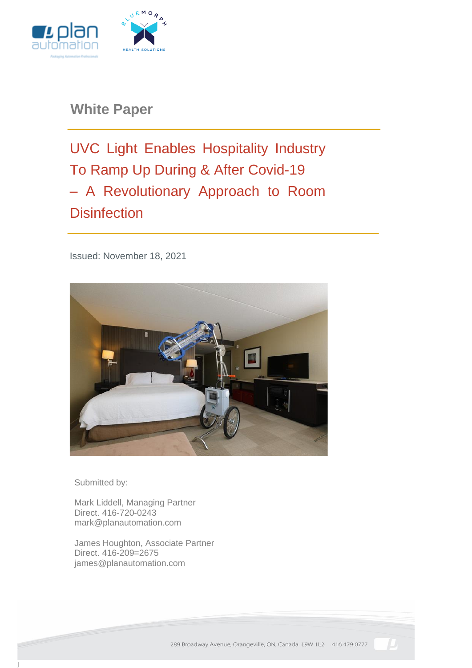

**White Paper**

UVC Light Enables Hospitality Industry To Ramp Up During & After Covid-19 – A Revolutionary Approach to Room **Disinfection** 

Issued: November 18, 2021



Submitted by:

Mark Liddell, Managing Partner Direct. 416-720-0243 mark@planautomation.com

James Houghton, Associate Partner Direct. 416-209=2675 james@planautomation.com

289 Broadway Avenue, Orangeville, ON, Canada L9W 1L2 416 479 0777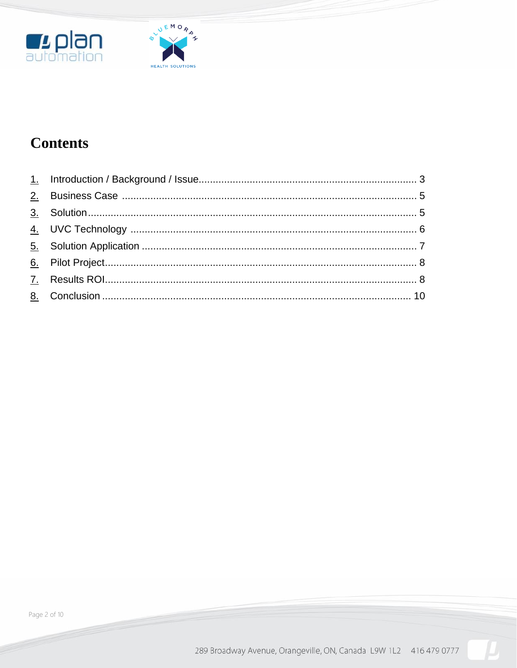



## **Contents**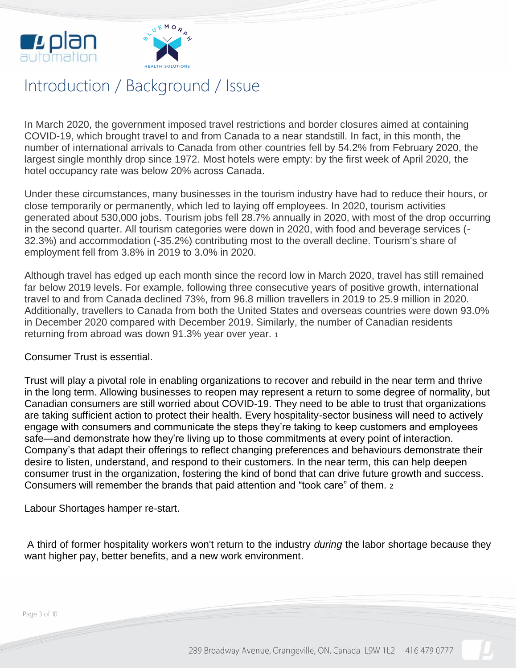



## Introduction / Background / Issue

In March 2020, the government imposed travel restrictions and border closures aimed at containing COVID-19, which brought travel to and from Canada to a near standstill. In fact, in this month, the number of international arrivals to Canada from other countries fell by 54.2% from February 2020, the largest single monthly drop since 1972. Most hotels were empty: by the first week of April 2020, the hotel occupancy rate was below 20% across Canada.

Under these circumstances, many businesses in the tourism industry have had to reduce their hours, or close temporarily or permanently, which led to laying off employees. In 2020, tourism activities generated about 530,000 jobs. Tourism jobs fell 28.7% annually in 2020, with most of the drop occurring in the second quarter. All tourism categories were down in 2020, with food and beverage services (- 32.3%) and accommodation (-35.2%) contributing most to the overall decline. Tourism's share of employment fell from 3.8% in 2019 to 3.0% in 2020.

Although travel has edged up each month since the record low in March 2020, travel has still remained far below 2019 levels. For example, following three consecutive years of positive growth, international travel to and from Canada declined 73%, from 96.8 million travellers in 2019 to 25.9 million in 2020. Additionally, travellers to Canada from both the United States and overseas countries were down 93.0% in December 2020 compared with December 2019. Similarly, the number of Canadian residents returning from abroad was down 91.3% year over year. <sup>1</sup>

Consumer Trust is essential.

Trust will play a pivotal role in enabling organizations to recover and rebuild in the near term and thrive in the long term. Allowing businesses to reopen may represent a return to some degree of normality, but Canadian consumers are still worried about COVID-19. They need to be able to trust that organizations are taking sufficient action to protect their health. Every hospitality-sector business will need to actively engage with consumers and communicate the steps they're taking to keep customers and employees safe—and demonstrate how they're living up to those commitments at every point of interaction. Company's that adapt their offerings to reflect changing preferences and behaviours demonstrate their desire to listen, understand, and respond to their customers. In the near term, this can help deepen consumer trust in the organization, fostering the kind of bond that can drive future growth and success. Consumers will remember the brands that paid attention and "took care" of them. <sup>2</sup>

Labour Shortages hamper re-start.

A third of former hospitality workers won't return to the industry *during* the labor shortage because they want higher pay, better benefits, and a new work environment.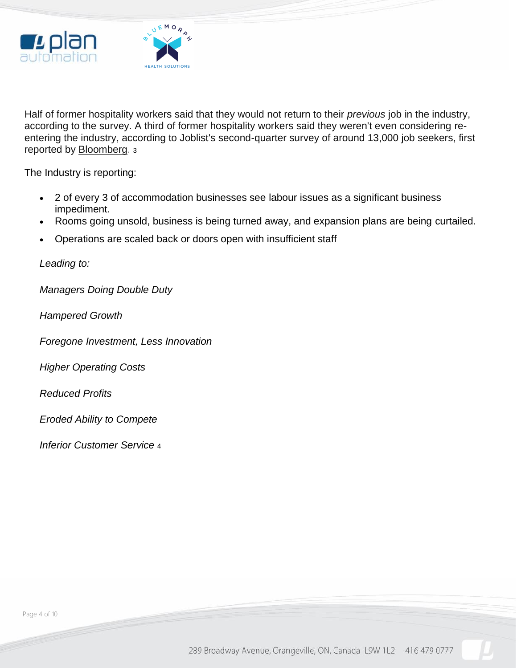



Half of former hospitality workers said that they would not return to their *previous* job in the industry, according to the survey. A third of former hospitality workers said they weren't even considering reentering the industry, according to Joblist's second-quarter survey of around 13,000 job seekers, first reported by [Bloomberg.](https://www.bloomberg.com/news/articles/2021-07-08/half-of-u-s-hospitality-workers-won-t-return-in-job-crunch?sref=lAVQtUwz) <sup>3</sup>

The Industry is reporting:

- 2 of every 3 of accommodation businesses see labour issues as a significant business impediment.
- Rooms going unsold, business is being turned away, and expansion plans are being curtailed.
- Operations are scaled back or doors open with insufficient staff

*Leading to:*

*Managers Doing Double Duty*

*Hampered Growth*

*Foregone Investment, Less Innovation*

*Higher Operating Costs*

*Reduced Profits*

*Eroded Ability to Compete*

*Inferior Customer Service* <sup>4</sup>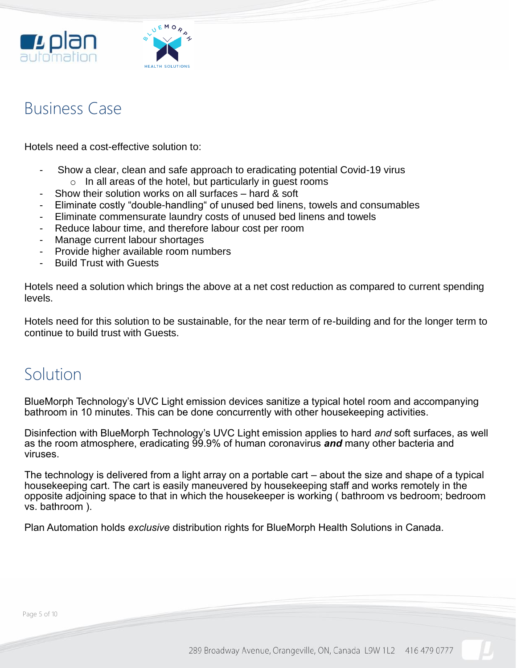



#### Business Case

Hotels need a cost-effective solution to:

- Show a clear, clean and safe approach to eradicating potential Covid-19 virus  $\circ$  In all areas of the hotel, but particularly in quest rooms
- Show their solution works on all surfaces hard & soft
- Eliminate costly "double-handling" of unused bed linens, towels and consumables
- Eliminate commensurate laundry costs of unused bed linens and towels
- Reduce labour time, and therefore labour cost per room
- Manage current labour shortages
- Provide higher available room numbers
- **Build Trust with Guests**

Hotels need a solution which brings the above at a net cost reduction as compared to current spending levels.

Hotels need for this solution to be sustainable, for the near term of re-building and for the longer term to continue to build trust with Guests.

### Solution

BlueMorph Technology's UVC Light emission devices sanitize a typical hotel room and accompanying bathroom in 10 minutes. This can be done concurrently with other housekeeping activities.

Disinfection with BlueMorph Technology's UVC Light emission applies to hard *and* soft surfaces, as well as the room atmosphere, eradicating 99.9% of human coronavirus *and* many other bacteria and viruses.

The technology is delivered from a light array on a portable cart – about the size and shape of a typical housekeeping cart. The cart is easily maneuvered by housekeeping staff and works remotely in the opposite adjoining space to that in which the housekeeper is working ( bathroom vs bedroom; bedroom vs. bathroom ).

Plan Automation holds *exclusive* distribution rights for BlueMorph Health Solutions in Canada.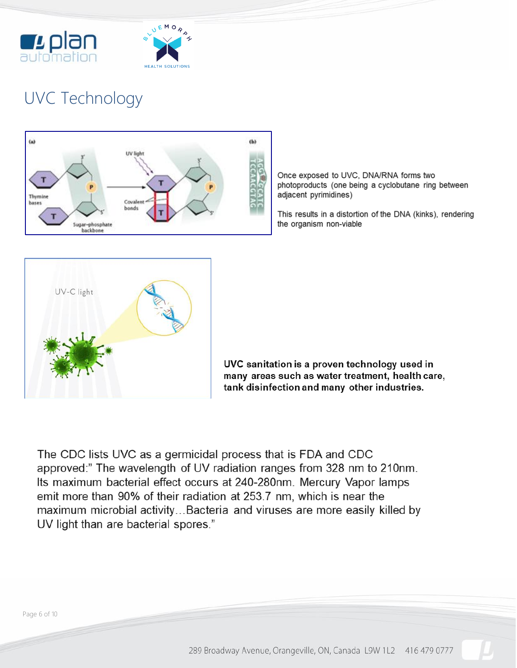



# UVC Technology



Once exposed to UVC, DNA/RNA forms two photoproducts (one being a cyclobutane ring between adjacent pyrimidines)

This results in a distortion of the DNA (kinks), rendering the organism non-viable



UVC sanitation is a proven technology used in many areas such as water treatment, health care, tank disinfection and many other industries.

The CDC lists UVC as a germicidal process that is FDA and CDC approved:" The wavelength of UV radiation ranges from 328 nm to 210nm. Its maximum bacterial effect occurs at 240-280nm. Mercury Vapor lamps emit more than 90% of their radiation at 253.7 nm, which is near the maximum microbial activity...Bacteria and viruses are more easily killed by UV light than are bacterial spores."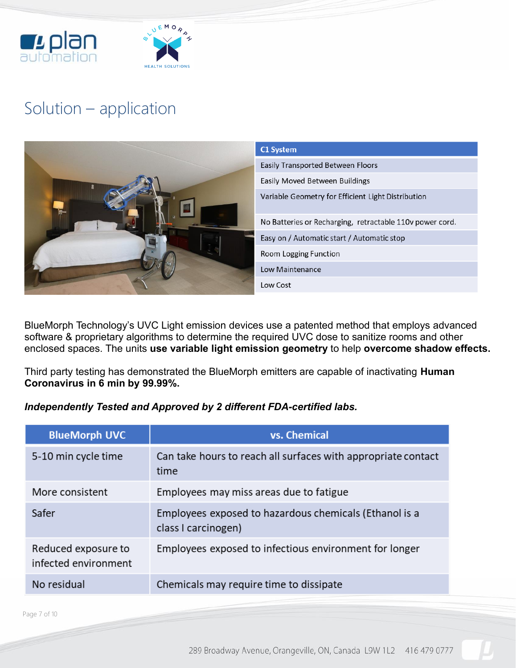



## Solution – application



BlueMorph Technology's UVC Light emission devices use a patented method that employs advanced software & proprietary algorithms to determine the required UVC dose to sanitize rooms and other enclosed spaces. The units **use variable light emission geometry** to help **overcome shadow effects.**

Third party testing has demonstrated the BlueMorph emitters are capable of inactivating **Human Coronavirus in 6 min by 99.99%.**

#### *Independently Tested and Approved by 2 different FDA-certified labs.*

| <b>BlueMorph UVC</b>                        | vs. Chemical                                                                  |
|---------------------------------------------|-------------------------------------------------------------------------------|
| 5-10 min cycle time                         | Can take hours to reach all surfaces with appropriate contact<br>time         |
| More consistent                             | Employees may miss areas due to fatigue                                       |
| Safer                                       | Employees exposed to hazardous chemicals (Ethanol is a<br>class I carcinogen) |
| Reduced exposure to<br>infected environment | Employees exposed to infectious environment for longer                        |
| No residual                                 | Chemicals may require time to dissipate                                       |

Page 7 of 10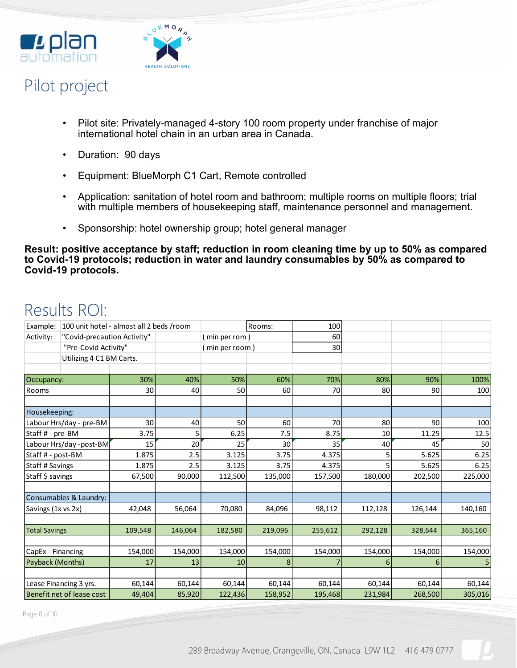



## Pilot project

- Pilot site: Privately-managed 4-story 100 room property under franchise of major international hotel chain in an urban area in Canada.
- Duration: 90 days
- Equipment: BlueMorph C1 Cart, Remote controlled
- Application: sanitation of hotel room and bathroom; multiple rooms on multiple floors; trial with multiple members of housekeeping staff, maintenance personnel and management.
- Sponsorship: hotel ownership group; hotel general manager

**Result: positive acceptance by staff; reduction in room cleaning time by up to 50% as compared to Covid-19 protocols; reduction in water and laundry consumables by 50% as compared to Covid-19 protocols.**

## Results ROI:

| Example:                  | 100 unit hotel - almost all 2 beds /room |         |         | Rooms:         |         | 100     |         |         |         |
|---------------------------|------------------------------------------|---------|---------|----------------|---------|---------|---------|---------|---------|
| Activity:                 | "Covid-precaution Activity"              |         |         | (min per rom)  |         | 60      |         |         |         |
| "Pre-Covid Activity"      |                                          |         |         | (min per room) |         | 30      |         |         |         |
|                           | Utilizing 4 C1 BM Carts.                 |         |         |                |         |         |         |         |         |
|                           |                                          |         |         |                |         |         |         |         |         |
| Occupancy:                |                                          | 30%     | 40%     | 50%            | 60%     | 70%     | 80%     | 90%     | 100%    |
| Rooms                     |                                          | 30      | 40      | 50             | 60      | 70      | 80      | 90      | 100     |
|                           |                                          |         |         |                |         |         |         |         |         |
| Housekeeping:             |                                          |         |         |                |         |         |         |         |         |
| Labour Hrs/day - pre-BM   |                                          | 30      | 40      | 50             | 60      | 70      | 80      | 90      | 100     |
| Staff # - pre-BM          |                                          | 3.75    | 5       | 6.25           | 7.5     | 8.75    | 10      | 11.25   | 12.5    |
| Labour Hrs/day -post-BM   |                                          | 15      | 20      | 25             | 30      | 35      | 40      | 45      | 50      |
| Staff # - post-BM         |                                          | 1.875   | 2.5     | 3.125          | 3.75    | 4.375   | 5       | 5.625   | 6.25    |
| Staff # Savings           |                                          | 1.875   | 2.5     | 3.125          | 3.75    | 4.375   | 5       | 5.625   | 6.25    |
| Staff \$ savings          |                                          | 67,500  | 90,000  | 112,500        | 135,000 | 157,500 | 180,000 | 202,500 | 225,000 |
|                           |                                          |         |         |                |         |         |         |         |         |
|                           | Consumables & Laundry:                   |         |         |                |         |         |         |         |         |
| Savings (1x vs 2x)        |                                          | 42,048  | 56,064  | 70,080         | 84,096  | 98,112  | 112,128 | 126,144 | 140,160 |
|                           |                                          |         |         |                |         |         |         |         |         |
| <b>Total Savings</b>      |                                          | 109,548 | 146,064 | 182,580        | 219,096 | 255,612 | 292,128 | 328,644 | 365,160 |
|                           |                                          |         |         |                |         |         |         |         |         |
| CapEx - Financing         |                                          | 154,000 | 154,000 | 154,000        | 154,000 | 154,000 | 154,000 | 154,000 | 154,000 |
| Payback (Months)          |                                          | 17      | 13      | 10             | 8       |         | 6       | 6       |         |
|                           |                                          |         |         |                |         |         |         |         |         |
| Lease Financing 3 yrs.    |                                          | 60,144  | 60,144  | 60,144         | 60,144  | 60,144  | 60,144  | 60,144  | 60,144  |
| Benefit net of lease cost |                                          | 49,404  | 85,920  | 122,436        | 158,952 | 195,468 | 231,984 | 268,500 | 305,016 |

Page 8 of 10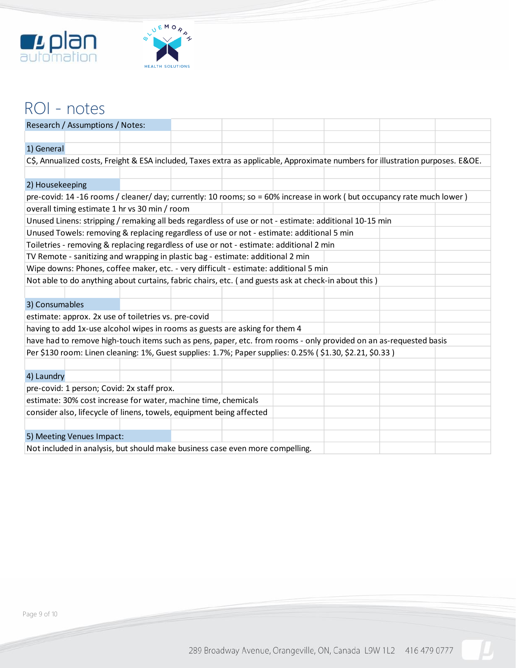



### ROI - notes

|                                                                                                                                | Research / Assumptions / Notes:                                                           |  |  |  |  |                                                                                                                   |  |  |  |
|--------------------------------------------------------------------------------------------------------------------------------|-------------------------------------------------------------------------------------------|--|--|--|--|-------------------------------------------------------------------------------------------------------------------|--|--|--|
|                                                                                                                                |                                                                                           |  |  |  |  |                                                                                                                   |  |  |  |
| 1) General                                                                                                                     |                                                                                           |  |  |  |  |                                                                                                                   |  |  |  |
| C\$, Annualized costs, Freight & ESA included, Taxes extra as applicable, Approximate numbers for illustration purposes. E&OE. |                                                                                           |  |  |  |  |                                                                                                                   |  |  |  |
|                                                                                                                                |                                                                                           |  |  |  |  |                                                                                                                   |  |  |  |
| 2) Housekeeping                                                                                                                |                                                                                           |  |  |  |  |                                                                                                                   |  |  |  |
| pre-covid: 14-16 rooms / cleaner/ day; currently: 10 rooms; so = 60% increase in work (but occupancy rate much lower)          |                                                                                           |  |  |  |  |                                                                                                                   |  |  |  |
| overall timing estimate 1 hr vs 30 min / room                                                                                  |                                                                                           |  |  |  |  |                                                                                                                   |  |  |  |
|                                                                                                                                |                                                                                           |  |  |  |  | Unused Linens: stripping / remaking all beds regardless of use or not - estimate: additional 10-15 min            |  |  |  |
|                                                                                                                                | Unused Towels: removing & replacing regardless of use or not - estimate: additional 5 min |  |  |  |  |                                                                                                                   |  |  |  |
| Toiletries - removing & replacing regardless of use or not - estimate: additional 2 min                                        |                                                                                           |  |  |  |  |                                                                                                                   |  |  |  |
| TV Remote - sanitizing and wrapping in plastic bag - estimate: additional 2 min                                                |                                                                                           |  |  |  |  |                                                                                                                   |  |  |  |
|                                                                                                                                | Wipe downs: Phones, coffee maker, etc. - very difficult - estimate: additional 5 min      |  |  |  |  |                                                                                                                   |  |  |  |
| Not able to do anything about curtains, fabric chairs, etc. (and guests ask at check-in about this)                            |                                                                                           |  |  |  |  |                                                                                                                   |  |  |  |
|                                                                                                                                |                                                                                           |  |  |  |  |                                                                                                                   |  |  |  |
| 3) Consumables                                                                                                                 |                                                                                           |  |  |  |  |                                                                                                                   |  |  |  |
|                                                                                                                                | estimate: approx. 2x use of toiletries vs. pre-covid                                      |  |  |  |  |                                                                                                                   |  |  |  |
|                                                                                                                                | having to add 1x-use alcohol wipes in rooms as guests are asking for them 4               |  |  |  |  |                                                                                                                   |  |  |  |
|                                                                                                                                |                                                                                           |  |  |  |  | have had to remove high-touch items such as pens, paper, etc. from rooms - only provided on an as-requested basis |  |  |  |
|                                                                                                                                |                                                                                           |  |  |  |  | Per \$130 room: Linen cleaning: 1%, Guest supplies: 1.7%; Paper supplies: 0.25% (\$1.30, \$2.21, \$0.33)          |  |  |  |
|                                                                                                                                |                                                                                           |  |  |  |  |                                                                                                                   |  |  |  |
| 4) Laundry                                                                                                                     |                                                                                           |  |  |  |  |                                                                                                                   |  |  |  |
| pre-covid: 1 person; Covid: 2x staff prox.                                                                                     |                                                                                           |  |  |  |  |                                                                                                                   |  |  |  |
| estimate: 30% cost increase for water, machine time, chemicals                                                                 |                                                                                           |  |  |  |  |                                                                                                                   |  |  |  |
| consider also, lifecycle of linens, towels, equipment being affected                                                           |                                                                                           |  |  |  |  |                                                                                                                   |  |  |  |
|                                                                                                                                |                                                                                           |  |  |  |  |                                                                                                                   |  |  |  |
| 5) Meeting Venues Impact:                                                                                                      |                                                                                           |  |  |  |  |                                                                                                                   |  |  |  |
| Not included in analysis, but should make business case even more compelling.                                                  |                                                                                           |  |  |  |  |                                                                                                                   |  |  |  |